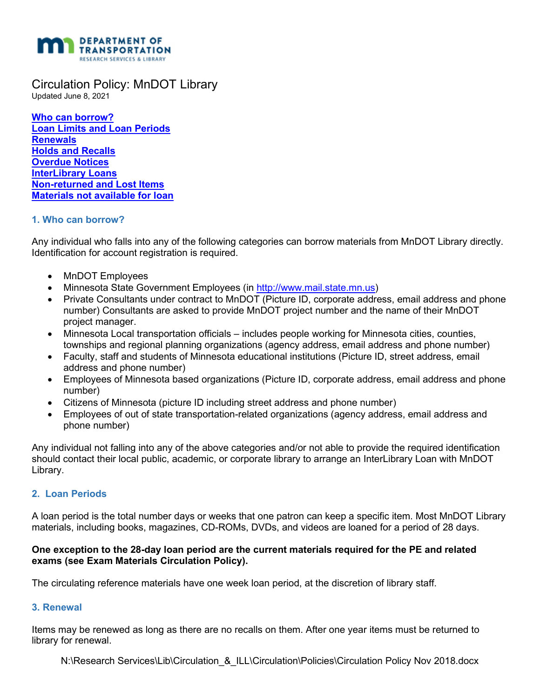

Circulation Policy: MnDOT Library

Updated June 8, 2021

 **[Loan Limits and Loan Periods](#page-0-1)  [Who can borrow?](#page-0-0)  [Renewals](#page-0-2)  [Holds and Recalls](#page-1-0)  [Overdue Notices](#page-1-1)  [InterLibrary Loans](#page-1-2) [Non-returned and Lost Items](#page-1-3)  [Materials not available for loan](#page-1-4)** 

## <span id="page-0-0"></span>**1. Who can borrow?**

 Any individual who falls into any of the following categories can borrow materials from MnDOT Library directly. Identification for account registration is required.

- MnDOT Employees
- Minnesota State Government Employees (in [http://www.mail.state.mn.us\)](http://www.mail.state.mn.us/)
- number) Consultants are asked to provide MnDOT project number and the name of their MnDOT • Private Consultants under contract to MnDOT (Picture ID, corporate address, email address and phone project manager.
- • Minnesota Local transportation officials includes people working for Minnesota cities, counties, townships and regional planning organizations (agency address, email address and phone number)
- • Faculty, staff and students of Minnesota educational institutions (Picture ID, street address, email address and phone number)
- Employees of Minnesota based organizations (Picture ID, corporate address, email address and phone number)
- Citizens of Minnesota (picture ID including street address and phone number)
- Employees of out of state transportation-related organizations (agency address, email address and phone number)

Any individual not falling into any of the above categories and/or not able to provide the required identification should contact their local public, academic, or corporate library to arrange an InterLibrary Loan with MnDOT Library.

# <span id="page-0-1"></span> **2. Loan Periods**

 materials, including books, magazines, CD-ROMs, DVDs, and videos are loaned for a period of 28 days. A loan period is the total number days or weeks that one patron can keep a specific item. Most MnDOT Library

## **One exception to the 28-day loan period are the current materials required for the PE and related exams (see Exam Materials Circulation Policy).**

The circulating reference materials have one week loan period, at the discretion of library staff.

### <span id="page-0-2"></span>**3. Renewal**

 library for renewal. Items may be renewed as long as there are no recalls on them. After one year items must be returned to

N:\Research Services\Lib\Circulation\_&\_ILL\Circulation\Policies\Circulation Policy Nov 2018.docx